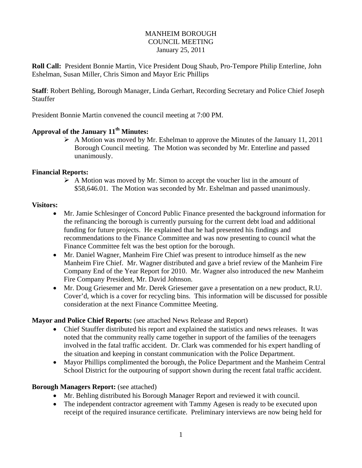#### MANHEIM BOROUGH COUNCIL MEETING January 25, 2011

**Roll Call:** President Bonnie Martin, Vice President Doug Shaub, Pro-Tempore Philip Enterline, John Eshelman, Susan Miller, Chris Simon and Mayor Eric Phillips

**Staff**: Robert Behling, Borough Manager, Linda Gerhart, Recording Secretary and Police Chief Joseph Stauffer

President Bonnie Martin convened the council meeting at 7:00 PM.

## Approval of the January 11<sup>th</sup> Minutes:

 $\triangleright$  A Motion was moved by Mr. Eshelman to approve the Minutes of the January 11, 2011 Borough Council meeting. The Motion was seconded by Mr. Enterline and passed unanimously.

## **Financial Reports:**

 $\triangleright$  A Motion was moved by Mr. Simon to accept the voucher list in the amount of \$58,646.01. The Motion was seconded by Mr. Eshelman and passed unanimously.

## **Visitors:**

- Mr. Jamie Schlesinger of Concord Public Finance presented the background information for the refinancing the borough is currently pursuing for the current debt load and additional funding for future projects. He explained that he had presented his findings and recommendations to the Finance Committee and was now presenting to council what the Finance Committee felt was the best option for the borough.
- Mr. Daniel Wagner, Manheim Fire Chief was present to introduce himself as the new Manheim Fire Chief. Mr. Wagner distributed and gave a brief review of the Manheim Fire Company End of the Year Report for 2010. Mr. Wagner also introduced the new Manheim Fire Company President, Mr. David Johnson.
- Mr. Doug Griesemer and Mr. Derek Griesemer gave a presentation on a new product, R.U. Cover'd, which is a cover for recycling bins. This information will be discussed for possible consideration at the next Finance Committee Meeting.

## **Mayor and Police Chief Reports:** (see attached News Release and Report)

- Chief Stauffer distributed his report and explained the statistics and news releases. It was noted that the community really came together in support of the families of the teenagers involved in the fatal traffic accident. Dr. Clark was commended for his expert handling of the situation and keeping in constant communication with the Police Department.
- Mayor Phillips complimented the borough, the Police Department and the Manheim Central School District for the outpouring of support shown during the recent fatal traffic accident.

## **Borough Managers Report:** (see attached)

- Mr. Behling distributed his Borough Manager Report and reviewed it with council.
- The independent contractor agreement with Tammy Agesen is ready to be executed upon receipt of the required insurance certificate. Preliminary interviews are now being held for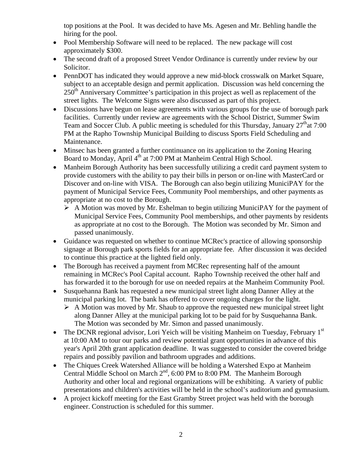top positions at the Pool. It was decided to have Ms. Agesen and Mr. Behling handle the hiring for the pool.

- Pool Membership Software will need to be replaced. The new package will cost approximately \$300.
- The second draft of a proposed Street Vendor Ordinance is currently under review by our Solicitor.
- PennDOT has indicated they would approve a new mid-block crosswalk on Market Square, subject to an acceptable design and permit application. Discussion was held concerning the  $250<sup>th</sup>$  Anniversary Committee's participation in this project as well as replacement of the street lights. The Welcome Signs were also discussed as part of this project.
- Discussions have begun on lease agreements with various groups for the use of borough park facilities. Currently under review are agreements with the School District, Summer Swim Team and Soccer Club. A public meeting is scheduled for this Thursday, January  $27<sup>th</sup>$ at 7:00 PM at the Rapho Township Municipal Building to discuss Sports Field Scheduling and Maintenance.
- Minsec has been granted a further continuance on its application to the Zoning Hearing Board to Monday, April 4<sup>th</sup> at 7:00 PM at Manheim Central High School.
- Manheim Borough Authority has been successfully utilizing a credit card payment system to provide customers with the ability to pay their bills in person or on-line with MasterCard or Discover and on-line with VISA. The Borough can also begin utilizing MuniciPAY for the payment of Municipal Service Fees, Community Pool memberships, and other payments as appropriate at no cost to the Borough.
	- $\triangleright$  A Motion was moved by Mr. Eshelman to begin utilizing MuniciPAY for the payment of Municipal Service Fees, Community Pool memberships, and other payments by residents as appropriate at no cost to the Borough. The Motion was seconded by Mr. Simon and passed unanimously.
- Guidance was requested on whether to continue MCRec's practice of allowing sponsorship signage at Borough park sports fields for an appropriate fee. After discussion it was decided to continue this practice at the lighted field only.
- The Borough has received a payment from MCRec representing half of the amount remaining in MCRec's Pool Capital account. Rapho Township received the other half and has forwarded it to the borough for use on needed repairs at the Manheim Community Pool.
- Susquehanna Bank has requested a new municipal street light along Danner Alley at the municipal parking lot. The bank has offered to cover ongoing charges for the light.
	- $\triangleright$  A Motion was moved by Mr. Shaub to approve the requested new municipal street light along Danner Alley at the municipal parking lot to be paid for by Susquehanna Bank. The Motion was seconded by Mr. Simon and passed unanimously.
- The DCNR regional advisor, Lori Yeich will be visiting Manheim on Tuesday, February 1<sup>st</sup> at 10:00 AM to tour our parks and review potential grant opportunities in advance of this year's April 20th grant application deadline. It was suggested to consider the covered bridge repairs and possibly pavilion and bathroom upgrades and additions.
- The Chiques Creek Watershed Alliance will be holding a Watershed Expo at Manheim Central Middle School on March  $2<sup>nd</sup>$ , 6:00 PM to 8:00 PM. The Manheim Borough Authority and other local and regional organizations will be exhibiting. A variety of public presentations and children's activities will be held in the school's auditorium and gymnasium.
- A project kickoff meeting for the East Gramby Street project was held with the borough engineer. Construction is scheduled for this summer.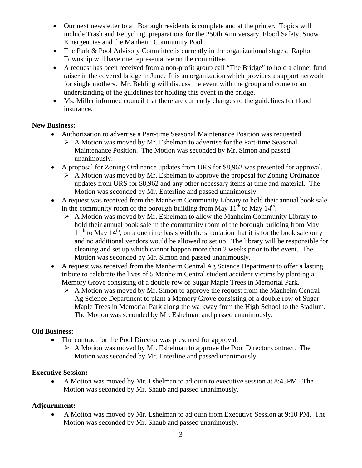- Our next newsletter to all Borough residents is complete and at the printer. Topics will include Trash and Recycling, preparations for the 250th Anniversary, Flood Safety, Snow Emergencies and the Manheim Community Pool.
- The Park & Pool Advisory Committee is currently in the organizational stages. Rapho Township will have one representative on the committee.
- A request has been received from a non-profit group call "The Bridge" to hold a dinner fund raiser in the covered bridge in June. It is an organization which provides a support network for single mothers. Mr. Behling will discuss the event with the group and come to an understanding of the guidelines for holding this event in the bridge.
- Ms. Miller informed council that there are currently changes to the guidelines for flood insurance.

## **New Business:**

- Authorization to advertise a Part-time Seasonal Maintenance Position was requested.
	- $\triangleright$  A Motion was moved by Mr. Eshelman to advertise for the Part-time Seasonal Maintenance Position. The Motion was seconded by Mr. Simon and passed unanimously.
- A proposal for Zoning Ordinance updates from URS for \$8,962 was presented for approval.
	- $\triangleright$  A Motion was moved by Mr. Eshelman to approve the proposal for Zoning Ordinance updates from URS for \$8,962 and any other necessary items at time and material. The Motion was seconded by Mr. Enterline and passed unanimously.
- A request was received from the Manheim Community Library to hold their annual book sale in the community room of the borough building from May  $11<sup>th</sup>$  to May  $14<sup>th</sup>$ .
	- $\triangleright$  A Motion was moved by Mr. Eshelman to allow the Manheim Community Library to hold their annual book sale in the community room of the borough building from May  $11<sup>th</sup>$  to May  $14<sup>th</sup>$ , on a one time basis with the stipulation that it is for the book sale only and no additional vendors would be allowed to set up. The library will be responsible for cleaning and set up which cannot happen more than 2 weeks prior to the event. The Motion was seconded by Mr. Simon and passed unanimously.
- A request was received from the Manheim Central Ag Science Department to offer a lasting tribute to celebrate the lives of 5 Manheim Central student accident victims by planting a Memory Grove consisting of a double row of Sugar Maple Trees in Memorial Park.
	- $\triangleright$  A Motion was moved by Mr. Simon to approve the request from the Manheim Central Ag Science Department to plant a Memory Grove consisting of a double row of Sugar Maple Trees in Memorial Park along the walkway from the High School to the Stadium. The Motion was seconded by Mr. Eshelman and passed unanimously.

## **Old Business:**

- The contract for the Pool Director was presented for approval.
	- $\triangleright$  A Motion was moved by Mr. Eshelman to approve the Pool Director contract. The Motion was seconded by Mr. Enterline and passed unanimously.

## **Executive Session:**

 A Motion was moved by Mr. Eshelman to adjourn to executive session at 8:43PM. The Motion was seconded by Mr. Shaub and passed unanimously.

## **Adjournment:**

 A Motion was moved by Mr. Eshelman to adjourn from Executive Session at 9:10 PM. The Motion was seconded by Mr. Shaub and passed unanimously.